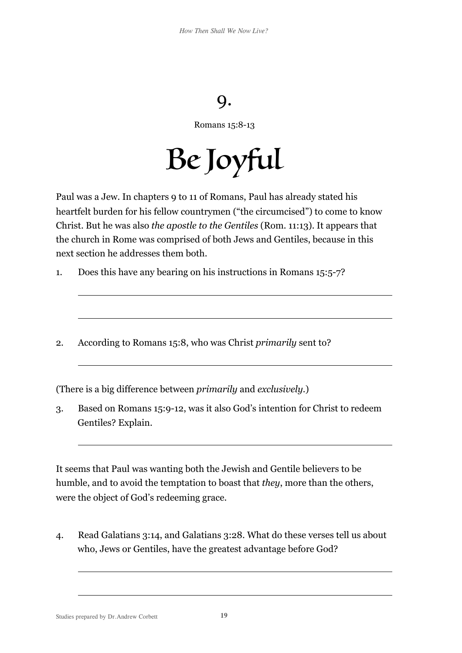## 9.

Romans 15:8-13

Be Joyful

Paul was a Jew. In chapters 9 to 11 of Romans, Paul has already stated his heartfelt burden for his fellow countrymen ("the circumcised") to come to know Christ. But he was also *the apostle to the Gentiles* (Rom. 11:13). It appears that the church in Rome was comprised of both Jews and Gentiles, because in this next section he addresses them both.

- 1. Does this have any bearing on his instructions in Romans 15:5-7?
- 2. According to Romans 15:8, who was Christ *primarily* sent to?

(There is a big difference between *primarily* and *exclusively*.)

3. Based on Romans 15:9-12, was it also God's intention for Christ to redeem Gentiles? Explain.

It seems that Paul was wanting both the Jewish and Gentile believers to be humble, and to avoid the temptation to boast that *they*, more than the others, were the object of God's redeeming grace.

4. Read Galatians 3:14, and Galatians 3:28. What do these verses tell us about who, Jews or Gentiles, have the greatest advantage before God?

Studies prepared by Dr.Andrew Corbett **19**

 $\overline{a}$ 

 $\overline{a}$ 

 $\overline{a}$ 

 $\overline{a}$